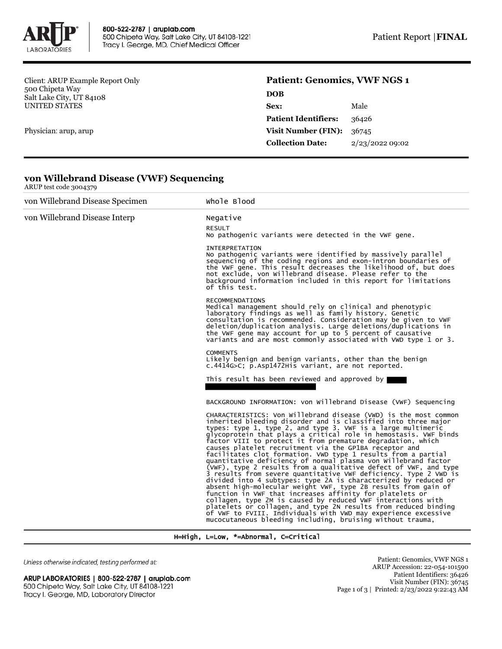

Client: ARUP Example Report Only 500 Chipeta Way Salt Lake City, UT 84108 UNITED STATES

Physician: arup, arup

ARUP test code 3004379

## **Patient: Genomics, VWF NGS 1**

| <b>DOB</b>                  |                 |
|-----------------------------|-----------------|
| Sex:                        | Male            |
| <b>Patient Identifiers:</b> | 36426           |
| <b>Visit Number (FIN):</b>  | 36745           |
| <b>Collection Date:</b>     | 2/23/2022 09:02 |
|                             |                 |

| von Willebrand Disease Specimen | Whole Blood                                                                                                                                                                                                                                                                                                                                                                                                                                                                                                                                                                                                                                                                                                                                                                                                                                                                                                                                                                                                                                                                                                                                    |
|---------------------------------|------------------------------------------------------------------------------------------------------------------------------------------------------------------------------------------------------------------------------------------------------------------------------------------------------------------------------------------------------------------------------------------------------------------------------------------------------------------------------------------------------------------------------------------------------------------------------------------------------------------------------------------------------------------------------------------------------------------------------------------------------------------------------------------------------------------------------------------------------------------------------------------------------------------------------------------------------------------------------------------------------------------------------------------------------------------------------------------------------------------------------------------------|
| von Willebrand Disease Interp   | Negative                                                                                                                                                                                                                                                                                                                                                                                                                                                                                                                                                                                                                                                                                                                                                                                                                                                                                                                                                                                                                                                                                                                                       |
|                                 | <b>RESULT</b><br>No pathogenic variants were detected in the VWF gene.                                                                                                                                                                                                                                                                                                                                                                                                                                                                                                                                                                                                                                                                                                                                                                                                                                                                                                                                                                                                                                                                         |
|                                 | <b>INTERPRETATION</b><br>No pathogenic variants were identified by massively parallel<br>sequencing of the coding regions and exon-intron boundaries of<br>the VWF gene. This result decreases the likelihood of, but does<br>not exclude, von Willebrand disease. Please refer to the<br>background information included in this report for limitations<br>of this test.                                                                                                                                                                                                                                                                                                                                                                                                                                                                                                                                                                                                                                                                                                                                                                      |
|                                 | <b>RECOMMENDATIONS</b><br>Medical management should rely on clinical and phenotypic<br>laboratory findings as well as family history. Genetic<br>consultation is recommended. Consideration may be given to VWF<br>deletion/duplication analysis. Large deletions/duplications in<br>the VWF gene may account for up to 5 percent of causative<br>variants and are most commonly associated with VWD type 1 or 3.                                                                                                                                                                                                                                                                                                                                                                                                                                                                                                                                                                                                                                                                                                                              |
|                                 | <b>COMMENTS</b><br>Likely benign and benign variants, other than the benign<br>c.4414G>C; p.Asp1472His variant, are not reported.                                                                                                                                                                                                                                                                                                                                                                                                                                                                                                                                                                                                                                                                                                                                                                                                                                                                                                                                                                                                              |
|                                 | This result has been reviewed and approved by                                                                                                                                                                                                                                                                                                                                                                                                                                                                                                                                                                                                                                                                                                                                                                                                                                                                                                                                                                                                                                                                                                  |
|                                 | BACKGROUND INFORMATION: von Willebrand Disease (VWF) Sequencing                                                                                                                                                                                                                                                                                                                                                                                                                                                                                                                                                                                                                                                                                                                                                                                                                                                                                                                                                                                                                                                                                |
|                                 | CHARACTERISTICS: Von Willebrand disease (VWD) is the most common<br>inherited bleeding disorder and is classified into three major<br>types: type 1, type 2, and type 3. VWF is a large multimeric<br>glycoprotein that plays a critical role in hemostasis. VWF binds<br>factor VIII to protect it from premature degradation, which<br>causes platelet recruitment via the GP1BA receptor and<br>facilitates clot formation. VWD type 1 results from a partial<br>quantitative deficiency of normal plasma von Willebrand factor<br>(VWF), type 2 results from a qualitative defect of VWF, and type<br>3 results from severe quantitative VWF deficiency. Type 2 VWD is<br>divided into 4 subtypes: type 2A is characterized by reduced or<br>absent high-molecular weight VWF, type 2B results from gain of<br>function in VWF that increases affinity for platelets or<br>collagen, type 2M is caused by reduced VWF interactions with<br>platelets or collagen, and type 2N results from reduced binding<br>of VWF to FVIII. Individuals with VWD may experience excessive<br>mucocutaneous bleeding including, bruising without trauma, |

## **von Willebrand Disease (VWF) Sequencing**

H=High, L=Low, \*=Abnormal, C=Critical

Unless otherwise indicated, testing performed at:

## ARUP LABORATORIES | 800-522-2787 | aruplab.com 500 Chipeta Way, Salt Lake City, UT 84108-1221 Tracy I. George, MD, Laboratory Director

Patient: Genomics, VWF NGS 1 ARUP Accession: 22-054-101590 Patient Identifiers: 36426 Visit Number (FIN): 36745 Page 1 of 3 | Printed: 2/23/2022 9:22:43 AM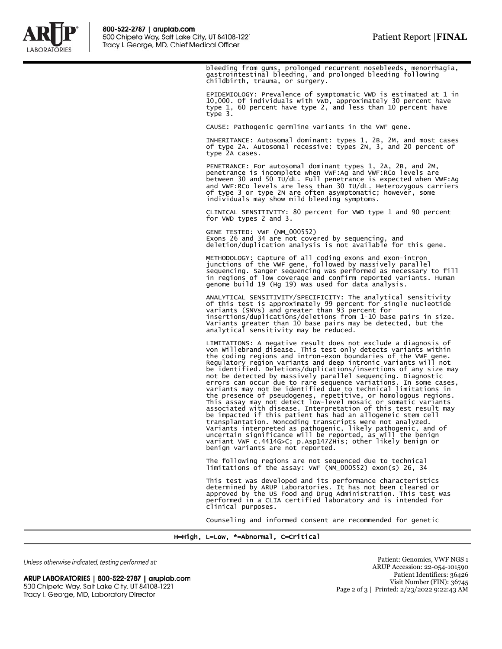

bleeding from gums, prolonged recurrent nosebleeds, menorrhagia, gastrointestinal bleeding, and prolonged bleeding following childbirth, trauma, or surgery.

EPIDEMIOLOGY: Prevalence of symptomatic VWD is estimated at 1 in 10,000. Of individuals with VWD, approximately 30 percent have type 1, 60 percent have type 2, and less than 10 percent have type 3.

CAUSE: Pathogenic germline variants in the VWF gene.

INHERITANCE: Autosomal dominant: types 1, 2B, 2M, and most cases of type 2A. Autosomal recessive: types 2N, 3, and 20 percent of type 2A cases.

PENETRANCE: For autosomal dominant types 1, 2A, 2B, and 2M, penetrance is incomplete when VWF:Ag and VWF:RCo levels are between 30 and 50 IU/dL. Full penetrance is expected when VWF:Ag and VWF:RCo levels are less than 30 IU/dL. Heterozygous carriers of type 3 or type 2N are often asymptomatic; however, some individuals may show mild bleeding symptoms.

CLINICAL SENSITIVITY: 80 percent for VWD type 1 and 90 percent for VWD types 2 and 3.

GENE TESTED: VWF (NM\_000552) Exons 26 and 34 are not covered by sequencing, and deletion/duplication analysis is not available for this gene.

METHODOLOGY: Capture of all coding exons and exon-intron<br>junctions of the VWF gene, followed by massively parallel<br>sequencing. Sanger sequencing was performed as necessary to fill<br>in regions of low coverage and confirm rep

ANALYTICAL SENSITIVITY/SPECIFICITY: The analytical sensitivity of this test is approximately 99 percent for single nucleotide variants (SNVs) and greater than 93 percent for insertions/duplications/deletions from 1-10 base pairs in size. Variants greater than 10 base pairs may be detected, but the analytical sensitivity may be reduced.

LIMITATIONS: A negative result does not exclude a diagnosis of von Willebrand disease. This test only detects variants within the coding regions and intron-exon boundaries of the VWF gene. Regulatory region variants and deep intronic variants will not be identified. Deletions/duplications/insertions of any size may<br>not be detected by massively parallel sequencing. Diagnostic<br>errors can occur due to rare sequence variations. In some cases,<br>variants may not be identified This assay may not detect low-level mosaic or somatic variants associated with disease. Interpretation of this test result may be impacted if this patient has had an allogeneic stem cell transplantation. Noncoding transcripts were not analyzed. Variants interpreted as pathogenic, likely pathogenic, and of uncertain significance will be reported, as will the benign variant VWF c.4414G>C; p.Asp1472His; other likely benign or benign variants are not reported.

The following regions are not sequenced due to technical limitations of the assay: VWF (NM\_000552) exon(s) 26, 34

This test was developed and its performance characteristics<br>determined by ARUP Laboratories. It has not been cleared or<br>approved by the US Food and Drug Administration. This test was<br>performed in a CLIA certified laborator clinical purposes.

Counseling and informed consent are recommended for genetic

H=High, L=Low, \*=Abnormal, C=Critical

Unless otherwise indicated, testing performed at:

ARUP LABORATORIES | 800-522-2787 | aruplab.com 500 Chipeta Way, Salt Lake City, UT 84108-1221 Tracy I. George, MD, Laboratory Director

Patient: Genomics, VWF NGS 1 ARUP Accession: 22-054-101590 Patient Identifiers: 36426 Visit Number (FIN): 36745 Page 2 of 3 | Printed: 2/23/2022 9:22:43 AM